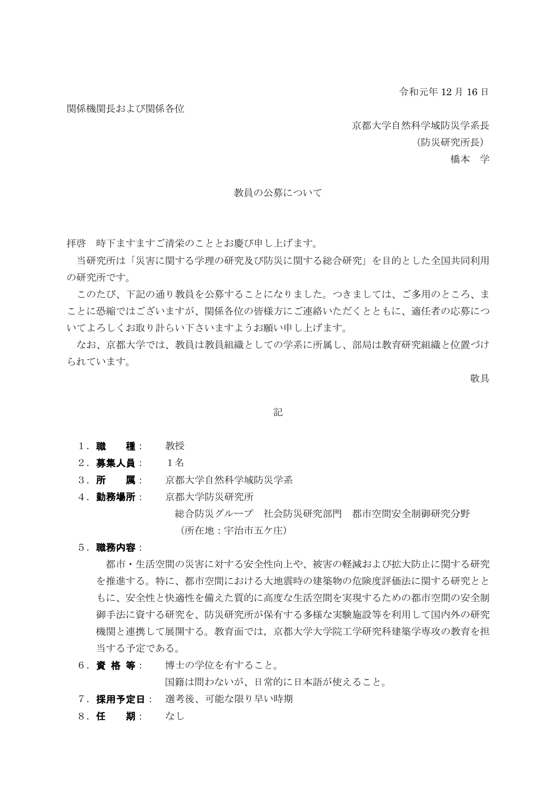令和元年 12 月 16 日

関係機関長および関係各位

京都大学自然科学域防災学系長

(防災研究所長)

橋本 学

#### 教員の公募について

拝啓 時下ますますご清栄のこととお慶び申し上げます。

当研究所は「災害に関する学理の研究及び防災に関する総合研究」を目的とした全国共同利用 の研究所です。

このたび、下記の通り教員を公募することになりました。つきましては、ご多用のところ、ま ことに恐縮ではございますが、関係各位の皆様方にご連絡いただくとともに、適任者の応募につ いてよろしくお取り計らい下さいますようお願い申し上げます。

なお、京都大学では、教員は教員組織としての学系に所属し、部局は教育研究組織と位置づけ られています。

敬具

記

- 1. 職 種: 教授
- 2.募集人員: 1名
- 3. **所 属**: 京都大学自然科学域防災学系
- 4. 勤務場所: 京都大学防災研究所 総合防災グループ 社会防災研究部門 都市空間安全制御研究分野 (所在地:宇治市五ケ庄)
- 5.職務内容:

都市・生活空間の災害に対する安全性向上や、被害の軽減および拡大防止に関する研究 を推進する。特に、都市空間における大地震時の建築物の危険度評価法に関する研究とと もに、安全性と快適性を備えた質的に高度な生活空間を実現するための都市空間の安全制 御手法に資する研究を、防災研究所が保有する多様な実験施設等を利用して国内外の研究 機関と連携して展開する。教育面では,京都大学大学院工学研究科建築学専攻の教育を担 当する予定である。

6. 資格等: 博士の学位を有すること。

国籍は問わないが、日常的に日本語が使えること。

7. 採用予定日: 選考後、可能な限り早い時期

8.任 期: なし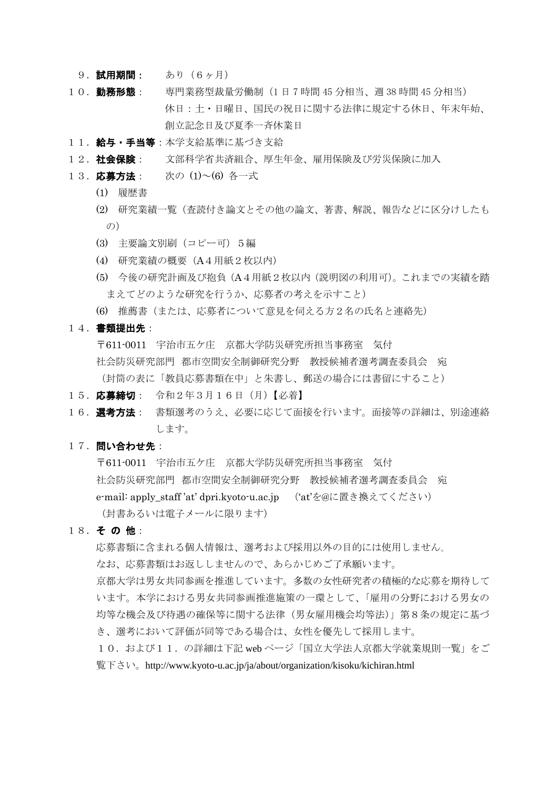- 9. 試用期間: あり (6ヶ月)
- 10. 勤務形態: 専門業務型裁量労働制 (1日 7 時間 45 分相当、週 38 時間 45 分相当) 休日:土・日曜日、国民の祝日に関する法律に規定する休日、年末年始、 創立記念日及び夏季一斉休業日
- 11. 給与·手当等:本学支給基準に基づき支給
- 12. 社会保険: 文部科学省共済組合、厚生年金、雇用保険及び労災保険に加入
- 13. 応募方法: 次の (1)~(6) 各一式
	- (1) 履歴書
	- (2) 研究業績一覧(査読付き論文とその他の論文、著書、解説、報告などに区分けしたも  $(D)$
	- (3) 主要論文別刷(コピー可)5編
	- (4) 研究業績の概要(A4用紙2枚以内)
	- (5) 今後の研究計画及び抱負(A4用紙2枚以内(説明図の利用可)。これまでの実績を踏 まえてどのような研究を行うか、応募者の考えを示すこと)
	- (6) 推薦書(または、応募者について意見を伺える方2名の氏名と連絡先)
- 14. 書類提出先:

〒611-0011 宇治市五ケ庄 京都大学防災研究所担当事務室 気付 社会防災研究部門 都市空間安全制御研究分野 教授候補者選考調査委員会 宛 (封筒の表に「教員応募書類在中」と朱書し、郵送の場合には書留にすること)

- 15. 応募締切: 令和2年3月16日 (月)【必着】
- 16. 選考方法: 書類選考のうえ、必要に応じて面接を行います。面接等の詳細は、別途連絡 します。

### 17. 問い合わせ先:

〒611-0011 宇治市五ケ庄 京都大学防災研究所担当事務室 気付 社会防災研究部門 都市空間安全制御研究分野 教授候補者選考調査委員会 宛 e-mail: apply\_staff 'at' dpri.kyoto-u.ac.jp ('at'を@に置き換えてください) (封書あるいは電子メールに限ります)

18. その他:

応募書類に含まれる個人情報は、選考および採用以外の目的には使用しません。

なお、応募書類はお返ししませんので、あらかじめご了承願います。

京都大学は男女共同参画を推進しています。多数の女性研究者の積極的な応募を期待して います。本学における男女共同参画推進施策の一環として、「雇用の分野における男女の 均等な機会及び待遇の確保等に関する法律(男女雇用機会均等法)」第8条の規定に基づ き、選考において評価が同等である場合は、女性を優先して採用します。

10. および11. の詳細は下記 web ページ「国立大学法人京都大学就業規則一覧」をご 覧下さい。http://www.kyoto-u.ac.jp/ja/about/organization/kisoku/kichiran.html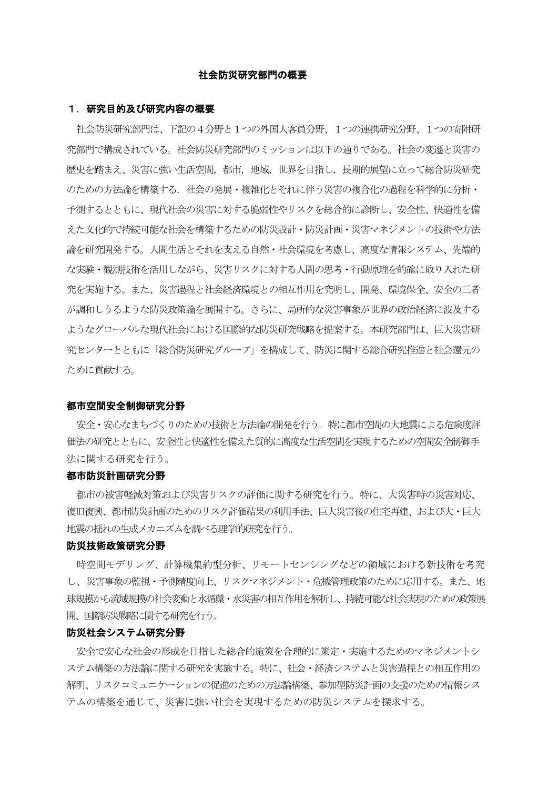#### 社会防災研究部門の概要

#### 1.研究目的及び研究内容の概要

社会防災研究部門は、下記の4分野と1つの外国人客員分野、1つの連携研究分野、1つの寄附研 究部門で構成されている。社会防災研究部門のミッションは以下の通りである。社会の変遷と災害の 歴史を踏まえ、災害に強い生活空間,都市,地域,世界を目指し,長期的展望に立って総合防災研究 のための方法論を構築する.社会の発展・複雑化とそれに伴う災害の複合化の過程を科学的に分析・ 予測するとともに、現代社会の災害に対する脆弱性やリスクを総合的に診断し、安全性、快適性を備 えた文化的で持続可能な社会を構築するための防災設計・防災計画・災害マネジメントの技術や方法 論を研究開発する。人間生活とそれを支える自然・社会環境を考慮し、高度な情報システム、先端的 な実験・観測技術を活用しながら、災害リスクに対する人間の思考・行動原理を的確に取り入れた研 究を実施する。また、災害過程と社会経済環境との相互作用を究明し、開発、環境保全、安全の三者 が調和しうるような防災政策論を展開する。さらに、局所的な災害事象が世界の政治経済に波及する ようなグローバルな現代社会における国際的な防災研究戦略を提案する。本研究部門は、巨大災害研 究センターとともに「総合防災研究グループ」を構成して、防災に関する総合研究推進と社会還元の ために貢献する。

#### 都市空間安全制御研究分野

安全・安心なまちづくりのための技術と方法論の開発を行う。特に都市空間の大地震による危険度評 価法の研究とともに、安全性と快適性を備えた質的に高度な生活空間を実現するための空間安全制御手 法に関する研究を行う。

#### 都市防災計画研究分野

都市の被害軽減対策および災害リスクの評価に関する研究を行う。特に、大災害時の災害対応、 復旧復興、都市防災計画のためのリスク評価結果の利用手法、巨大災害後の住宅再建、および大・巨大 地震の揺れの生成メカニズムを調べる理学的研究を行う。

#### 防災技術政策研究分野

時空間モデリング、計算機集約型分析、リモートセンシングなどの領域における新技術を考究 し、災害事象の監視・予測精度向上、リスクマネジメント・危機管理政策のために応用する。また、地 球規模から流域規模の社会変動と水循環・水災害の相互作用を解析し、持続可能な社会実現のための政策展 開、国際防災戦略に関する研究を行う。

### 防災社会システム研究分野

安全で安心な社会の形成を目指した総合的施策を合理的に策定・実施するためのマネジメントシ ステム構築の方法論に関する研究を実施する。特に、社会・経済システムと災害過程との相互作用の 解明、リスクコミュニケーションの促進のための方法論構築、参加型防災計画の支援のための情報シス テムの構築を通じて、災害に強い社会を実現するための防災システムを探求する。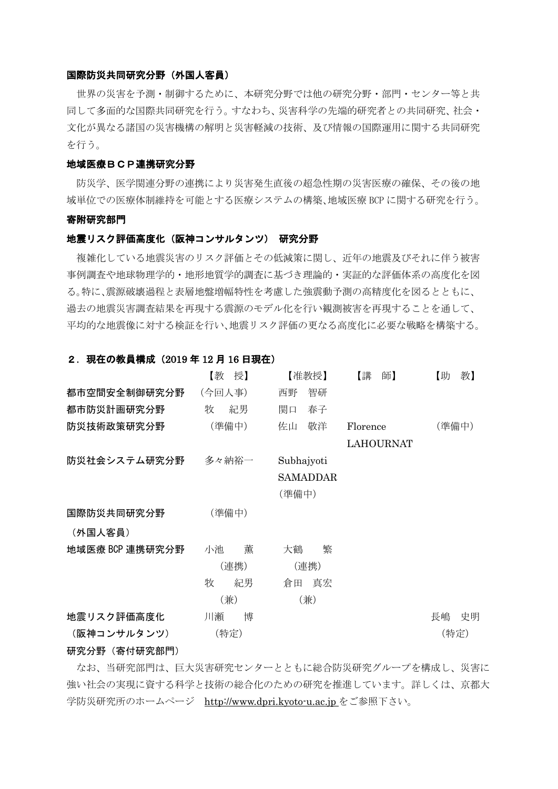#### 国際防災共同研究分野(外国人客員)

世界の災害を予測・制御するために、本研究分野では他の研究分野・部門・センター等と共 同して多面的な国際共同研究を行う。すなわち、災害科学の先端的研究者との共同研究、社会・ 文化が異なる諸国の災害機構の解明と災害軽減の技術、及び情報の国際運用に関する共同研究 を行う。

#### 地域医療BCP連携研究分野

防災学、医学関連分野の連携により災害発生直後の超急性期の災害医療の確保、その後の地 域単位での医療体制維持を可能とする医療システムの構築、地域医療 BCP に関する研究を行う。

#### 寄附研究部門

#### 地震リスク評価高度化(阪神コンサルタンツ) 研究分野

複雑化している地震災害のリスク評価とその低減策に関し、近年の地震及びそれに伴う被害 事例調査や地球物理学的・地形地質学的調査に基づき理論的・実証的な評価体系の高度化を図 る。特に、震源破壊過程と表層地盤増幅特性を考慮した強震動予測の高精度化を図るとともに、 過去の地震災害調査結果を再現する震源のモデル化を行い観測被害を再現することを通して、 平均的な地震像に対する検証を行い、地震リスク評価の更なる高度化に必要な戦略を構築する。

#### 2. 現在の教員構成 (2019年12月16日現在)

|                 | 【教<br>授】 | 【准教授】           | 【講<br>師】         | 【助<br>教】 |
|-----------------|----------|-----------------|------------------|----------|
| 都市空間安全制御研究分野    | (今回人事)   | 智研<br>西野        |                  |          |
| 都市防災計画研究分野      | 紀男<br>牧  | 春子<br>関口        |                  |          |
| 防災技術政策研究分野      | (準備中)    | 敬洋<br>佐山        | Florence         | (準備中)    |
|                 |          |                 | <b>LAHOURNAT</b> |          |
| 防災社会システム研究分野    | 多々納裕一    | Subhajyoti      |                  |          |
|                 |          | <b>SAMADDAR</b> |                  |          |
|                 |          | (準備中)           |                  |          |
| 国際防災共同研究分野      | (準備中)    |                 |                  |          |
| (外国人客員)         |          |                 |                  |          |
| 地域医療 BCP 連携研究分野 | 薫<br>小池  | 繁<br>大鶴         |                  |          |
|                 | (連携)     | (連携)            |                  |          |
|                 | 牧<br>紀男  | 真宏<br>倉田        |                  |          |
|                 | (兼)      | (兼)             |                  |          |
| 地震リスク評価高度化      | 博<br>川瀬  |                 |                  | 長嶋<br>史明 |
| (阪神コンサルタンツ)     | (特定)     |                 |                  | (特定)     |

## 研究分野(寄付研究部門)

なお、当研究部門は、巨大災害研究センターとともに総合防災研究グループを構成し、災害に 強い社会の実現に資する科学と技術の総合化のための研究を推進しています。詳しくは、京都大 学防災研究所のホームページ [http://www.dpri.kyoto-u.ac.jp](http://www.dpri.kyoto-u.ac.jp/web_j/index_topics.html) をご参照下さい。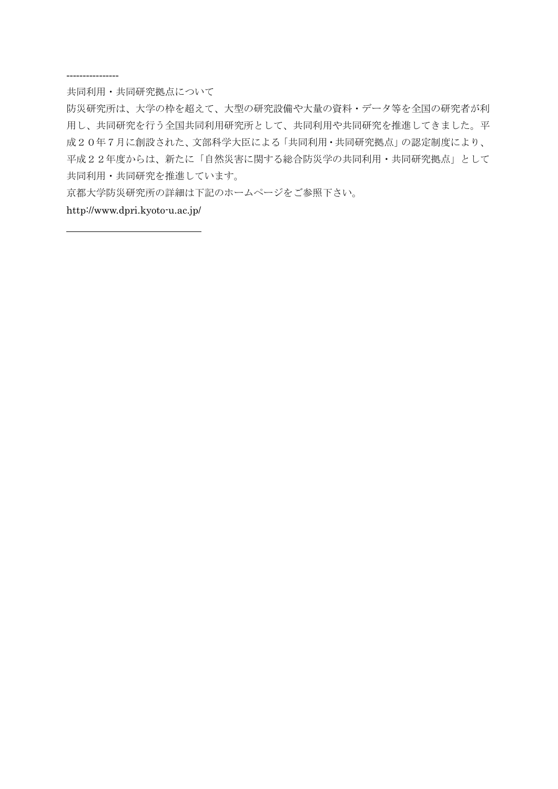#### ----------------

共同利用・共同研究拠点について

防災研究所は、大学の枠を超えて、大型の研究設備や大量の資料・データ等を全国の研究者が利 用し、共同研究を行う全国共同利用研究所として、共同利用や共同研究を推進してきました。平 成20年7月に創設された、文部科学大臣による「共同利用・共同研究拠点」の認定制度により、 平成22年度からは、新たに「自然災害に関する総合防災学の共同利用・共同研究拠点」として 共同利用・共同研究を推進しています。

京都大学防災研究所の詳細は下記のホームページをご参照下さい。

http://www.dpri.kyoto-u.ac.jp/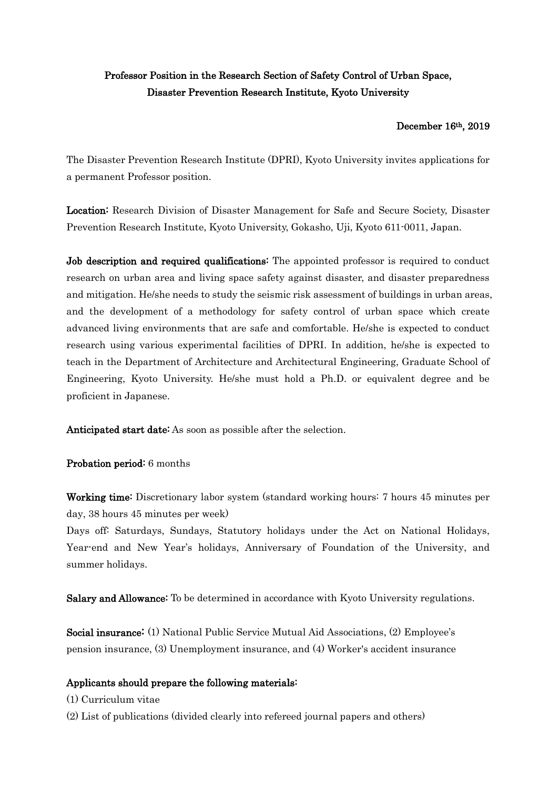# Professor Position in the Research Section of Safety Control of Urban Space, Disaster Prevention Research Institute, Kyoto University

## December 16th, 2019

The Disaster Prevention Research Institute (DPRI), Kyoto University invites applications for a permanent Professor position.

Location: Research Division of Disaster Management for Safe and Secure Society, Disaster Prevention Research Institute, Kyoto University, Gokasho, Uji, Kyoto 611-0011, Japan.

Job description and required qualifications: The appointed professor is required to conduct research on urban area and living space safety against disaster, and disaster preparedness and mitigation. He/she needs to study the seismic risk assessment of buildings in urban areas, and the development of a methodology for safety control of urban space which create advanced living environments that are safe and comfortable. He/she is expected to conduct research using various experimental facilities of DPRI. In addition, he/she is expected to teach in the Department of Architecture and Architectural Engineering, Graduate School of Engineering, Kyoto University. He/she must hold a Ph.D. or equivalent degree and be proficient in Japanese.

Anticipated start date: As soon as possible after the selection.

## Probation period: 6 months

Working time: Discretionary labor system (standard working hours: 7 hours 45 minutes per day, 38 hours 45 minutes per week)

Days off: Saturdays, Sundays, Statutory holidays under the Act on National Holidays, Year-end and New Year's holidays, Anniversary of Foundation of the University, and summer holidays.

Salary and Allowance: To be determined in accordance with Kyoto University regulations.

Social insurance: (1) National Public Service Mutual Aid Associations, (2) Employee's pension insurance, (3) Unemployment insurance, and (4) Worker's accident insurance

## Applicants should prepare the following materials:

- (1) Curriculum vitae
- (2) List of publications (divided clearly into refereed journal papers and others)